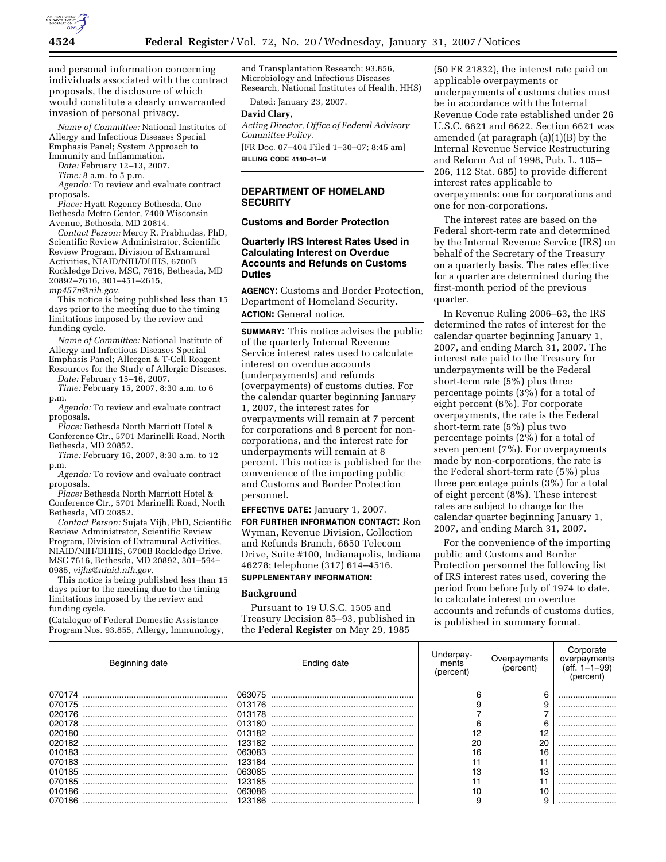

and personal information concerning individuals associated with the contract proposals, the disclosure of which would constitute a clearly unwarranted invasion of personal privacy.

*Name of Committee:* National Institutes of Allergy and Infectious Diseases Special Emphasis Panel; System Approach to Immunity and Inflammation.

*Date:* February 12–13, 2007.

*Time:* 8 a.m. to 5 p.m.

*Agenda:* To review and evaluate contract proposals.

*Place:* Hyatt Regency Bethesda, One Bethesda Metro Center, 7400 Wisconsin Avenue, Bethesda, MD 20814.

*Contact Person:* Mercy R. Prabhudas, PhD, Scientific Review Administrator, Scientific Review Program, Division of Extramural Activities, NIAID/NIH/DHHS, 6700B Rockledge Drive, MSC, 7616, Bethesda, MD 20892–7616, 301–451–2615,

*mp457n@nih.gov.* 

This notice is being published less than 15 days prior to the meeting due to the timing limitations imposed by the review and funding cycle.

*Name of Committee:* National Institute of Allergy and Infectious Diseases Special Emphasis Panel; Allergen & T-Cell Reagent Resources for the Study of Allergic Diseases.

*Date:* February 15–16, 2007. *Time:* February 15, 2007, 8:30 a.m. to 6

p.m.

*Agenda:* To review and evaluate contract proposals.

*Place:* Bethesda North Marriott Hotel & Conference Ctr., 5701 Marinelli Road, North Bethesda, MD 20852.

*Time:* February 16, 2007, 8:30 a.m. to 12 p.m.

*Agenda:* To review and evaluate contract proposals.

*Place:* Bethesda North Marriott Hotel & Conference Ctr., 5701 Marinelli Road, North Bethesda, MD 20852.

*Contact Person:* Sujata Vijh, PhD, Scientific Review Administrator, Scientific Review Program, Division of Extramural Activities, NIAID/NIH/DHHS, 6700B Rockledge Drive, MSC 7616, Bethesda, MD 20892, 301–594– 0985, *vijhs@niaid.nih.gov.* 

This notice is being published less than 15 days prior to the meeting due to the timing limitations imposed by the review and funding cycle.

(Catalogue of Federal Domestic Assistance Program Nos. 93.855, Allergy, Immunology,

and Transplantation Research; 93.856, Microbiology and Infectious Diseases Research, National Institutes of Health, HHS)

Dated: January 23, 2007.

#### **David Clary,**

*Acting Director, Office of Federal Advisory Committee Policy.* 

[FR Doc. 07–404 Filed 1–30–07; 8:45 am] **BILLING CODE 4140–01–M** 

# **DEPARTMENT OF HOMELAND SECURITY**

**Customs and Border Protection** 

#### **Quarterly IRS Interest Rates Used in Calculating Interest on Overdue Accounts and Refunds on Customs Duties**

**AGENCY:** Customs and Border Protection, Department of Homeland Security. **ACTION:** General notice.

**SUMMARY:** This notice advises the public of the quarterly Internal Revenue Service interest rates used to calculate interest on overdue accounts (underpayments) and refunds (overpayments) of customs duties. For the calendar quarter beginning January 1, 2007, the interest rates for overpayments will remain at 7 percent for corporations and 8 percent for noncorporations, and the interest rate for underpayments will remain at 8 percent. This notice is published for the convenience of the importing public and Customs and Border Protection personnel.

**EFFECTIVE DATE:** January 1, 2007. **FOR FURTHER INFORMATION CONTACT:** Ron Wyman, Revenue Division, Collection and Refunds Branch, 6650 Telecom Drive, Suite #100, Indianapolis, Indiana 46278; telephone (317) 614–4516.

## **SUPPLEMENTARY INFORMATION:**

#### **Background**

Pursuant to 19 U.S.C. 1505 and Treasury Decision 85–93, published in the **Federal Register** on May 29, 1985

(50 FR 21832), the interest rate paid on applicable overpayments or underpayments of customs duties must be in accordance with the Internal Revenue Code rate established under 26 U.S.C. 6621 and 6622. Section 6621 was amended (at paragraph (a)(1)(B) by the Internal Revenue Service Restructuring and Reform Act of 1998, Pub. L. 105– 206, 112 Stat. 685) to provide different interest rates applicable to overpayments: one for corporations and one for non-corporations.

The interest rates are based on the Federal short-term rate and determined by the Internal Revenue Service (IRS) on behalf of the Secretary of the Treasury on a quarterly basis. The rates effective for a quarter are determined during the first-month period of the previous quarter.

In Revenue Ruling 2006–63, the IRS determined the rates of interest for the calendar quarter beginning January 1, 2007, and ending March 31, 2007. The interest rate paid to the Treasury for underpayments will be the Federal short-term rate (5%) plus three percentage points (3%) for a total of eight percent (8%). For corporate overpayments, the rate is the Federal short-term rate (5%) plus two percentage points (2%) for a total of seven percent (7%). For overpayments made by non-corporations, the rate is the Federal short-term rate (5%) plus three percentage points (3%) for a total of eight percent (8%). These interest rates are subject to change for the calendar quarter beginning January 1, 2007, and ending March 31, 2007.

For the convenience of the importing public and Customs and Border Protection personnel the following list of IRS interest rates used, covering the period from before July of 1974 to date, to calculate interest on overdue accounts and refunds of customs duties, is published in summary format.

| Beginning date | Ending date | Jnderpay-<br>ments<br>(percent) | Overpayments<br>(percent) | Corporate<br>overpayments<br>$(eff. 1-1-99)$<br>(percent) |
|----------------|-------------|---------------------------------|---------------------------|-----------------------------------------------------------|
|                |             |                                 |                           |                                                           |
| 070175         |             |                                 |                           |                                                           |
| 020176         | 013178      |                                 |                           |                                                           |
| 020178         |             |                                 |                           |                                                           |
| 020180         |             | 12                              |                           |                                                           |
|                |             | 20                              |                           |                                                           |
| 010183         |             | 16                              |                           |                                                           |
| 070183         | 123184      |                                 |                           |                                                           |
| 010185         | 063085      | 13                              |                           |                                                           |
| 070185         |             |                                 |                           |                                                           |
|                | 063086      |                                 |                           |                                                           |
| 070186         |             |                                 |                           |                                                           |